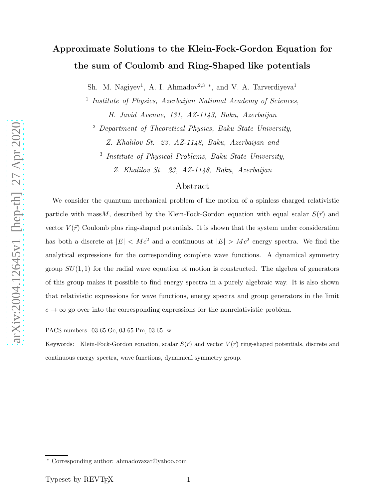# Approximate Solutions to the Klein-Fock-Gordon Equation for the sum of Coulomb and Ring-Shaped like potentials

Sh. M. Nagiyev<sup>1</sup>, A. I. Ahmadov<sup>2,3</sup> \*, and V. A. Tarverdiyeva<sup>1</sup>

<sup>1</sup> Institute of Physics, Azerbaijan National Academy of Sciences,

H. Javid Avenue, 131, AZ-1143, Baku, Azerbaijan

 $2$  Department of Theoretical Physics, Baku State University, Z. Khalilov St. 23, AZ-1148, Baku, Azerbaijan and

<sup>3</sup> Institute of Physical Problems, Baku State University,

Z. Khalilov St. 23, AZ-1148, Baku, Azerbaijan

### Abstract

We consider the quantum mechanical problem of the motion of a spinless charged relativistic particle with mass M, described by the Klein-Fock-Gordon equation with equal scalar  $S(\vec{r})$  and vector  $V(\vec{r})$  Coulomb plus ring-shaped potentials. It is shown that the system under consideration has both a discrete at  $|E| < Mc^2$  and a continuous at  $|E| > Mc^2$  energy spectra. We find the analytical expressions for the corresponding complete wave functions. A dynamical symmetry group  $SU(1,1)$  for the radial wave equation of motion is constructed. The algebra of generators of this group makes it possible to find energy spectra in a purely algebraic way. It is also shown that relativistic expressions for wave functions, energy spectra and group generators in the limit  $c \to \infty$  go over into the corresponding expressions for the nonrelativistic problem.

PACS numbers: 03.65.Ge, 03.65.Pm, 03.65.-w

Keywords: Klein-Fock-Gordon equation, scalar  $S(\vec{r})$  and vector  $V(\vec{r})$  ring-shaped potentials, discrete and continuous energy spectra, wave functions, dynamical symmetry group.

<sup>∗</sup> Corresponding author: ahmadovazar@yahoo.com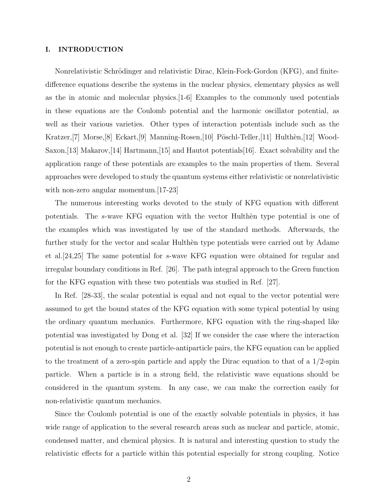#### I. INTRODUCTION

Nonrelativistic Schrödinger and relativistic Dirac, Klein-Fock-Gordon (KFG), and finitedifference equations describe the systems in the nuclear physics, elementary physics as well as the in atomic and molecular physics.[1-6] Examples to the commonly used potentials in these equations are the Coulomb potential and the harmonic oscillator potential, as well as their various varieties. Other types of interaction potentials include such as the Kratzer,  $[7]$  Morse,  $[8]$  Eckart,  $[9]$  Manning-Rosen,  $[10]$  Pöschl-Teller,  $[11]$  Hulthèn,  $[12]$  Wood-Saxon,[13] Makarov,[14] Hartmann,[15] and Hautot potentials[16]. Exact solvability and the application range of these potentials are examples to the main properties of them. Several approaches were developed to study the quantum systems either relativistic or nonrelativistic with non-zero angular momentum. [17-23]

The numerous interesting works devoted to the study of KFG equation with different potentials. The s-wave KFG equation with the vector Hulthen type potential is one of the examples which was investigated by use of the standard methods. Afterwards, the further study for the vector and scalar Hulthen type potentials were carried out by Adame et al.[24,25] The same potential for s-wave KFG equation were obtained for regular and irregular boundary conditions in Ref. [26]. The path integral approach to the Green function for the KFG equation with these two potentials was studied in Ref. [27].

In Ref. [28-33], the scalar potential is equal and not equal to the vector potential were assumed to get the bound states of the KFG equation with some typical potential by using the ordinary quantum mechanics. Furthermore, KFG equation with the ring-shaped like potential was investigated by Dong et al. [32] If we consider the case where the interaction potential is not enough to create particle-antiparticle pairs, the KFG equation can be applied to the treatment of a zero-spin particle and apply the Dirac equation to that of a  $1/2$ -spin particle. When a particle is in a strong field, the relativistic wave equations should be considered in the quantum system. In any case, we can make the correction easily for non-relativistic quantum mechanics.

Since the Coulomb potential is one of the exactly solvable potentials in physics, it has wide range of application to the several research areas such as nuclear and particle, atomic, condensed matter, and chemical physics. It is natural and interesting question to study the relativistic effects for a particle within this potential especially for strong coupling. Notice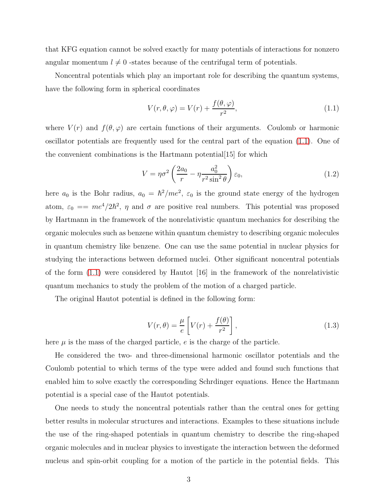that KFG equation cannot be solved exactly for many potentials of interactions for nonzero angular momentum  $l \neq 0$  -states because of the centrifugal term of potentials.

Noncentral potentials which play an important role for describing the quantum systems, have the following form in spherical coordinates

<span id="page-2-0"></span>
$$
V(r, \theta, \varphi) = V(r) + \frac{f(\theta, \varphi)}{r^2},\tag{1.1}
$$

where  $V(r)$  and  $f(\theta, \varphi)$  are certain functions of their arguments. Coulomb or harmonic oscillator potentials are frequently used for the central part of the equation [\(1.1\)](#page-2-0). One of the convenient combinations is the Hartmann potential[15] for which

<span id="page-2-1"></span>
$$
V = \eta \sigma^2 \left( \frac{2a_0}{r} - \eta \frac{a_0^2}{r^2 \sin^2 \theta} \right) \varepsilon_0,
$$
\n(1.2)

here  $a_0$  is the Bohr radius,  $a_0 = \hbar^2$ /me<sup>2</sup>,  $\varepsilon_0$  is the ground state energy of the hydrogen atom,  $\varepsilon_0 = m e^4 / 2 \hbar^2$ ,  $\eta$  and  $\sigma$  are positive real numbers. This potential was proposed by Hartmann in the framework of the nonrelativistic quantum mechanics for describing the organic molecules such as benzene within quantum chemistry to describing organic molecules in quantum chemistry like benzene. One can use the same potential in nuclear physics for studying the interactions between deformed nuclei. Other significant noncentral potentials of the form  $(1.1)$  were considered by Hautot  $|16|$  in the framework of the nonrelativistic quantum mechanics to study the problem of the motion of a charged particle.

The original Hautot potential is defined in the following form:

$$
V(r,\theta) = \frac{\mu}{e} \left[ V(r) + \frac{f(\theta)}{r^2} \right],
$$
\n(1.3)

here  $\mu$  is the mass of the charged particle, e is the charge of the particle.

He considered the two- and three-dimensional harmonic oscillator potentials and the Coulomb potential to which terms of the type were added and found such functions that enabled him to solve exactly the corresponding Schrdinger equations. Hence the Hartmann potential is a special case of the Hautot potentials.

One needs to study the noncentral potentials rather than the central ones for getting better results in molecular structures and interactions. Examples to these situations include the use of the ring-shaped potentials in quantum chemistry to describe the ring-shaped organic molecules and in nuclear physics to investigate the interaction between the deformed nucleus and spin-orbit coupling for a motion of the particle in the potential fields. This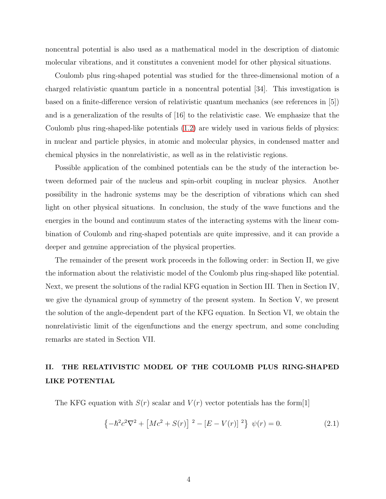noncentral potential is also used as a mathematical model in the description of diatomic molecular vibrations, and it constitutes a convenient model for other physical situations.

Coulomb plus ring-shaped potential was studied for the three-dimensional motion of a charged relativistic quantum particle in a noncentral potential [34]. This investigation is based on a finite-difference version of relativistic quantum mechanics (see references in [5]) and is a generalization of the results of [16] to the relativistic case. We emphasize that the Coulomb plus ring-shaped-like potentials [\(1.2\)](#page-2-1) are widely used in various fields of physics: in nuclear and particle physics, in atomic and molecular physics, in condensed matter and chemical physics in the nonrelativistic, as well as in the relativistic regions.

Possible application of the combined potentials can be the study of the interaction between deformed pair of the nucleus and spin-orbit coupling in nuclear physics. Another possibility in the hadronic systems may be the description of vibrations which can shed light on other physical situations. In conclusion, the study of the wave functions and the energies in the bound and continuum states of the interacting systems with the linear combination of Coulomb and ring-shaped potentials are quite impressive, and it can provide a deeper and genuine appreciation of the physical properties.

The remainder of the present work proceeds in the following order: in Section II, we give the information about the relativistic model of the Coulomb plus ring-shaped like potential. Next, we present the solutions of the radial KFG equation in Section III. Then in Section IV, we give the dynamical group of symmetry of the present system. In Section V, we present the solution of the angle-dependent part of the KFG equation. In Section VI, we obtain the nonrelativistic limit of the eigenfunctions and the energy spectrum, and some concluding remarks are stated in Section VII.

# II. THE RELATIVISTIC MODEL OF THE COULOMB PLUS RING-SHAPED LIKE POTENTIAL

The KFG equation with  $S(r)$  scalar and  $V(r)$  vector potentials has the form [1]

<span id="page-3-0"></span>
$$
\left\{-\hbar^2c^2\nabla^2 + \left[Mc^2 + S(r)\right]^2 - \left[E - V(r)\right]^2\right\}\,\psi(r) = 0.\tag{2.1}
$$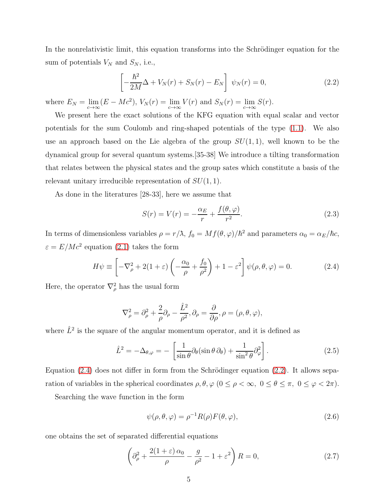In the nonrelativistic limit, this equation transforms into the Schrödinger equation for the sum of potentials  $V_N$  and  $S_N$ , i.e.,

<span id="page-4-1"></span>
$$
\left[-\frac{\hbar^2}{2M}\Delta + V_N(r) + S_N(r) - E_N\right] \psi_N(r) = 0,
$$
\n(2.2)

where  $E_N = \lim_{c \to \infty} (E - Mc^2)$ ,  $V_N(r) = \lim_{c \to \infty} V(r)$  and  $S_N(r) = \lim_{c \to \infty} S(r)$ .

We present here the exact solutions of the KFG equation with equal scalar and vector potentials for the sum Coulomb and ring-shaped potentials of the type [\(1.1\)](#page-2-0). We also use an approach based on the Lie algebra of the group  $SU(1,1)$ , well known to be the dynamical group for several quantum systems.[35-38] We introduce a tilting transformation that relates between the physical states and the group sates which constitute a basis of the relevant unitary irreducible representation of  $SU(1,1)$ .

As done in the literatures [28-33], here we assume that

<span id="page-4-3"></span>
$$
S(r) = V(r) = -\frac{\alpha_E}{r} + \frac{f(\theta, \varphi)}{r^2}.
$$
\n(2.3)

In terms of dimensionless variables  $\rho = r/\lambda$ ,  $f_0 = Mf(\theta, \varphi)/\hbar^2$  and parameters  $\alpha_0 = \alpha_E/\hbar c$ ,  $\varepsilon = E/Mc^2$  equation [\(2.1\)](#page-3-0) takes the form

<span id="page-4-0"></span>
$$
H\psi \equiv \left[ -\nabla_{\rho}^{2} + 2(1+\varepsilon) \left( -\frac{\alpha_{0}}{\rho} + \frac{f_{0}}{\rho^{2}} \right) + 1 - \varepsilon^{2} \right] \psi(\rho, \theta, \varphi) = 0.
$$
 (2.4)

Here, the operator  $\nabla^2_{\rho}$  has the usual form

$$
\nabla_{\rho}^{2} = \partial_{\rho}^{2} + \frac{2}{\rho} \partial_{\rho} - \frac{\hat{L}^{2}}{\rho^{2}}, \partial_{\rho} = \frac{\partial}{\partial \rho}, \rho = (\rho, \theta, \varphi),
$$

where  $\hat{L}^2$  is the square of the angular momentum operator, and it is defined as

$$
\hat{L}^2 = -\Delta_{\theta,\varphi} = -\left[\frac{1}{\sin\theta}\partial_{\theta}(\sin\theta\,\partial_{\theta}) + \frac{1}{\sin^2\theta}\partial_{\varphi}^2\right].
$$
\n(2.5)

Equation  $(2.4)$  does not differ in form from the Schrödinger equation  $(2.2)$ . It allows separation of variables in the spherical coordinates  $\rho, \theta, \varphi$   $(0 \le \rho < \infty, 0 \le \theta \le \pi, 0 \le \varphi < 2\pi)$ .

Searching the wave function in the form

$$
\psi(\rho,\theta,\varphi) = \rho^{-1} R(\rho) F(\theta,\varphi), \qquad (2.6)
$$

one obtains the set of separated differential equations

<span id="page-4-2"></span>
$$
\left(\partial_{\rho}^{2} + \frac{2(1+\varepsilon)\,\alpha_{0}}{\rho} - \frac{g}{\rho^{2}} - 1 + \varepsilon^{2}\right)R = 0,\tag{2.7}
$$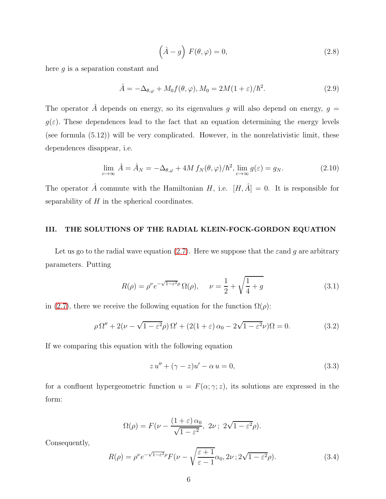<span id="page-5-1"></span>
$$
\left(\hat{A} - g\right) F(\theta, \varphi) = 0,\tag{2.8}
$$

here g is a separation constant and

$$
\hat{A} = -\Delta_{\theta,\varphi} + M_0 f(\theta,\varphi), M_0 = 2M(1+\varepsilon)/\hbar^2.
$$
\n(2.9)

The operator  $\hat{A}$  depends on energy, so its eigenvalues g will also depend on energy,  $g =$  $g(\varepsilon)$ . These dependences lead to the fact that an equation determining the energy levels (see formula (5.12)) will be very complicated. However, in the nonrelativistic limit, these dependences disappear, i.e.

$$
\lim_{c \to \infty} \hat{A} = \hat{A}_N = -\Delta_{\theta, \varphi} + 4M f_N(\theta, \varphi) / \hbar^2, \lim_{c \to \infty} g(\varepsilon) = g_N.
$$
\n(2.10)

The operator  $\hat{A}$  commute with the Hamiltonian H, i.e.  $[H, \hat{A}] = 0$ . It is responsible for separability of  $H$  in the spherical coordinates.

## III. THE SOLUTIONS OF THE RADIAL KLEIN-FOCK-GORDON EQUATION

Let us go to the radial wave equation [\(2.7\)](#page-4-2). Here we suppose that the  $\varepsilon$  and g are arbitrary parameters. Putting

<span id="page-5-2"></span>
$$
R(\rho) = \rho^{\nu} e^{-\sqrt{1 - \varepsilon^2} \rho} \Omega(\rho), \quad \nu = \frac{1}{2} + \sqrt{\frac{1}{4} + g}
$$
 (3.1)

in [\(2.7\)](#page-4-2), there we receive the following equation for the function  $\Omega(\rho)$ :

$$
\rho \Omega'' + 2(\nu - \sqrt{1 - \varepsilon^2} \rho) \Omega' + (2(1 + \varepsilon) \alpha_0 - 2\sqrt{1 - \varepsilon^2} \nu) \Omega = 0.
$$
 (3.2)

If we comparing this equation with the following equation

$$
zu'' + (\gamma - z)u' - \alpha u = 0,\t\t(3.3)
$$

for a confluent hypergeometric function  $u = F(\alpha; \gamma; z)$ , its solutions are expressed in the form:

$$
\Omega(\rho) = F(\nu - \frac{(1+\varepsilon)\,\alpha_0}{\sqrt{1-\varepsilon^2}},\ 2\nu\,;\ 2\sqrt{1-\varepsilon^2}\rho).
$$

Consequently,

<span id="page-5-0"></span>
$$
R(\rho) = \rho^{\nu} e^{-\sqrt{1-\varepsilon^2}\rho} F(\nu - \sqrt{\frac{\varepsilon+1}{\varepsilon-1}}\alpha_0, 2\nu \,; 2\sqrt{1-\varepsilon^2}\rho). \tag{3.4}
$$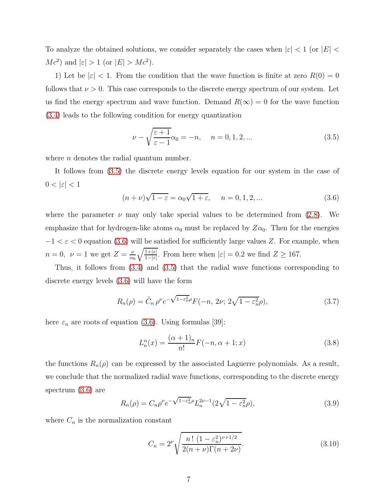To analyze the obtained solutions, we consider separately the cases when  $|\varepsilon| < 1$  (or  $|E| <$  $Mc^2$  and  $|\varepsilon| > 1$  (or  $|E| > Mc^2$ ).

1) Let be  $|\varepsilon|$  < 1. From the condition that the wave function is finite at zero  $R(0) = 0$ follows that  $\nu > 0$ . This case corresponds to the discrete energy spectrum of our system. Let us find the energy spectrum and wave function. Demand  $R(\infty) = 0$  for the wave function [\(3.4\)](#page-5-0) leads to the following condition for energy quantization

<span id="page-6-0"></span>
$$
\nu - \sqrt{\frac{\varepsilon + 1}{\varepsilon - 1}} \alpha_0 = -n, \quad n = 0, 1, 2, \dots
$$
\n(3.5)

where  $n$  denotes the radial quantum number.

It follows from [\(3.5\)](#page-6-0) the discrete energy levels equation for our system in the case of  $0 < |\varepsilon| < 1$ 

<span id="page-6-1"></span>
$$
(n+\nu)\sqrt{1-\varepsilon} = \alpha_0\sqrt{1+\varepsilon}, \quad n = 0, 1, 2, \dots
$$
\n(3.6)

where the parameter  $\nu$  may only take special values to be determined from [\(2.8\)](#page-5-1). We emphasize that for hydrogen-like atoms  $\alpha_0$  must be replaced by  $Z\alpha_0$ . Then for the energies  $-1 < \varepsilon < 0$  equation [\(3.6\)](#page-6-1) will be satisfied for sufficiently large values Z. For example, when  $n=0, \nu=1$  we get  $Z=\frac{\nu}{\alpha}$  $\frac{\nu}{\alpha_0}\sqrt{\frac{1+|\varepsilon|}{1-|\varepsilon|}}$  $\frac{1+|\varepsilon|}{1-|\varepsilon|}$ . From here when  $|\varepsilon| = 0.2$  we find  $Z \ge 167$ .

Thus, it follows from [\(3.4\)](#page-5-0) and [\(3.5\)](#page-6-0) that the radial wave functions corresponding to discrete energy levels [\(3.6\)](#page-6-1) will have the form

<span id="page-6-3"></span>
$$
R_n(\rho) = \tilde{C}_n \,\rho^{\nu} e^{-\sqrt{1-\varepsilon_n^2} \rho} F(-n, 2\nu; 2\sqrt{1-\varepsilon_n^2} \rho),\tag{3.7}
$$

here  $\varepsilon_n$  are roots of equation [\(3.6\)](#page-6-1). Using formulas [39]:

$$
L_n^{\alpha}(x) = \frac{(\alpha+1)_n}{n!} F(-n, \alpha+1; x)
$$
\n(3.8)

the functions  $R_n(\rho)$  can be expressed by the associated Laguerre polynomials. As a result, we conclude that the normalized radial wave functions, corresponding to the discrete energy spectrum [\(3.6\)](#page-6-1) are

<span id="page-6-2"></span>
$$
R_n(\rho) = C_n \rho^{\nu} e^{-\sqrt{1 - \varepsilon_n^2} \rho} L_n^{2\nu - 1} (2\sqrt{1 - \varepsilon_n^2} \rho), \tag{3.9}
$$

where  $C_n$  is the normalization constant

$$
C_n = 2^{\nu} \sqrt{\frac{n! (1 - \varepsilon_n^2)^{\nu + 1/2}}{2(n + \nu) \Gamma(n + 2\nu)}}.
$$
\n(3.10)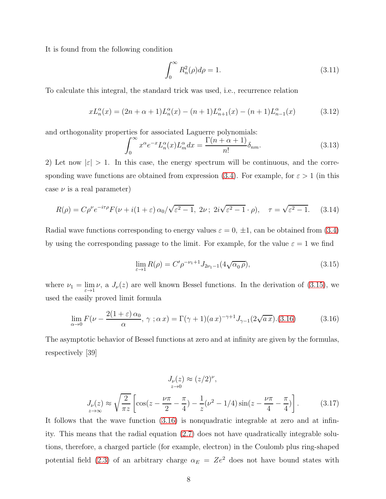It is found from the following condition

$$
\int_0^\infty R_n^2(\rho)d\rho = 1.
$$
\n(3.11)

To calculate this integral, the standard trick was used, i.e., recurrence relation

$$
xL_n^{\alpha}(x) = (2n + \alpha + 1)L_n^{\alpha}(x) - (n+1)L_{n+1}^{\alpha}(x) - (n+1)L_{n-1}^{\alpha}(x)
$$
(3.12)

and orthogonality properties for associated Laguerre polynomials:

$$
\int_0^\infty x^\alpha e^{-x} L_n^\alpha(x) L_m^\alpha dx = \frac{\Gamma(n+\alpha+1)}{n!} \delta_{nm}.\tag{3.13}
$$

2) Let now  $|\varepsilon| > 1$ . In this case, the energy spectrum will be continuous, and the corre-sponding wave functions are obtained from expression [\(3.4\)](#page-5-0). For example, for  $\varepsilon > 1$  (in this case  $\nu$  is a real parameter)

<span id="page-7-2"></span>
$$
R(\rho) = C\rho^{\nu} e^{-i\tau\rho} F(\nu + i(1+\varepsilon)\alpha_0/\sqrt{\varepsilon^2 - 1}, 2\nu; 2i\sqrt{\varepsilon^2 - 1} \cdot \rho), \quad \tau = \sqrt{\varepsilon^2 - 1}.
$$
 (3.14)

Radial wave functions corresponding to energy values  $\varepsilon = 0, \pm 1$ , can be obtained from [\(3.4\)](#page-5-0) by using the corresponding passage to the limit. For example, for the value  $\varepsilon = 1$  we find

<span id="page-7-0"></span>
$$
\lim_{\varepsilon \to 1} R(\rho) = C' \rho^{-\nu_1 + 1} J_{2\nu_1 - 1}(4\sqrt{\alpha_0 \rho}), \tag{3.15}
$$

where  $\nu_1 = \lim_{\varepsilon \to 1} \nu$ , a  $J_{\nu}(z)$  are well known Bessel functions. In the derivation of [\(3.15\)](#page-7-0), we used the easily proved limit formula

<span id="page-7-1"></span>
$$
\lim_{\alpha \to 0} F(\nu - \frac{2(1+\varepsilon)\alpha_0}{\alpha}, \gamma; \alpha x) = \Gamma(\gamma + 1)(ax)^{-\gamma + 1} J_{\gamma - 1}(2\sqrt{ax}).(3.16) \tag{3.16}
$$

The asymptotic behavior of Bessel functions at zero and at infinity are given by the formulas, respectively [39]

$$
J_{\nu}(z) \approx (z/2)^{\nu},
$$
  
\n
$$
J_{\nu}(z) \approx \sqrt{\frac{2}{\pi z}} \left[ \cos(z - \frac{\nu \pi}{2} - \frac{\pi}{4}) - \frac{1}{z} (\nu^2 - 1/4) \sin(z - \frac{\nu \pi}{4} - \frac{\pi}{4}) \right].
$$
 (3.17)

It follows that the wave function [\(3.16\)](#page-7-1) is nonquadratic integrable at zero and at infinity. This means that the radial equation [\(2.7\)](#page-4-2) does not have quadratically integrable solutions, therefore, a charged particle (for example, electron) in the Coulomb plus ring-shaped potential field [\(2.3\)](#page-4-3) of an arbitrary charge  $\alpha_E = Ze^2$  does not have bound states with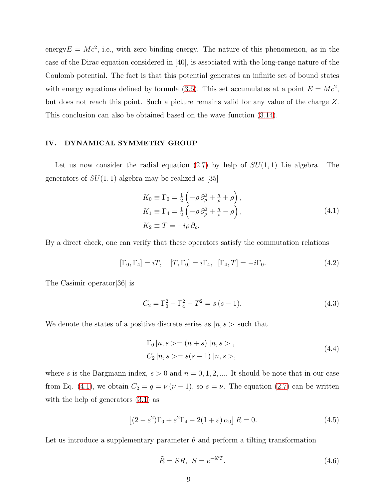energy  $E = Mc^2$ , i.e., with zero binding energy. The nature of this phenomenon, as in the case of the Dirac equation considered in [40], is associated with the long-range nature of the Coulomb potential. The fact is that this potential generates an infinite set of bound states with energy equations defined by formula [\(3.6\)](#page-6-1). This set accumulates at a point  $E = Mc^2$ , but does not reach this point. Such a picture remains valid for any value of the charge Z. This conclusion can also be obtained based on the wave function [\(3.14\)](#page-7-2).

#### IV. DYNAMICAL SYMMETRY GROUP

Let us now consider the radial equation  $(2.7)$  by help of  $SU(1, 1)$  Lie algebra. The generators of  $SU(1,1)$  algebra may be realized as [35]

<span id="page-8-0"></span>
$$
K_0 \equiv \Gamma_0 = \frac{1}{2} \left( -\rho \, \partial_\rho^2 + \frac{g}{\rho} + \rho \right),
$$
  
\n
$$
K_1 \equiv \Gamma_4 = \frac{1}{2} \left( -\rho \, \partial_\rho^2 + \frac{g}{\rho} - \rho \right),
$$
  
\n
$$
K_2 \equiv T = -i\rho \, \partial_\rho.
$$
\n(4.1)

By a direct check, one can verify that these operators satisfy the commutation relations

<span id="page-8-1"></span>
$$
[\Gamma_0, \Gamma_4] = iT, \quad [T, \Gamma_0] = i\Gamma_4, \quad [\Gamma_4, T] = -i\Gamma_0. \tag{4.2}
$$

The Casimir operator[36] is

$$
C_2 = \Gamma_0^2 - \Gamma_4^2 - T^2 = s(s - 1).
$$
 (4.3)

We denote the states of a positive discrete series as  $|n, s\rangle$  such that

$$
\Gamma_0 |n, s\rangle = (n+s) |n, s\rangle ,
$$
  
\n
$$
C_2 |n, s\rangle = s(s-1) |n, s\rangle ,
$$
\n(4.4)

where s is the Bargmann index,  $s > 0$  and  $n = 0, 1, 2, \dots$  It should be note that in our case from Eq. [\(4.1\)](#page-8-0), we obtain  $C_2 = g = \nu (\nu - 1)$ , so  $s = \nu$ . The equation [\(2.7\)](#page-4-2) can be written with the help of generators  $(3.1)$  as

<span id="page-8-2"></span>
$$
\left[ (2 - \varepsilon^2) \Gamma_0 + \varepsilon^2 \Gamma_4 - 2(1 + \varepsilon) \alpha_0 \right] R = 0.
$$
 (4.5)

Let us introduce a supplementary parameter  $\theta$  and perform a tilting transformation

$$
\tilde{R} = SR, \ S = e^{-i\theta T}.
$$
\n(4.6)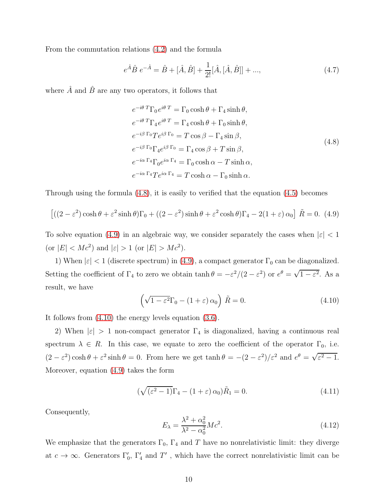From the commutation relations [\(4.2\)](#page-8-1) and the formula

$$
e^{\hat{A}}\hat{B} e^{-\hat{A}} = \hat{B} + [\hat{A}, \hat{B}] + \frac{1}{2!}[\hat{A}, [\hat{A}, \hat{B}]] + ...,
$$
\n(4.7)

where  $\hat{A}$  and  $\hat{B}$  are any two operators, it follows that

<span id="page-9-0"></span>
$$
e^{-i\theta T} \Gamma_0 e^{i\theta T} = \Gamma_0 \cosh \theta + \Gamma_4 \sinh \theta,
$$
  
\n
$$
e^{-i\theta T} \Gamma_4 e^{i\theta T} = \Gamma_4 \cosh \theta + \Gamma_0 \sinh \theta,
$$
  
\n
$$
e^{-i\beta \Gamma_0} T e^{i\beta \Gamma_0} = T \cos \beta - \Gamma_4 \sin \beta,
$$
  
\n
$$
e^{-i\beta \Gamma_0} \Gamma_4 e^{i\beta \Gamma_0} = \Gamma_4 \cos \beta + T \sin \beta,
$$
  
\n
$$
e^{-i\alpha \Gamma_4} \Gamma_0 e^{i\alpha \Gamma_4} = \Gamma_0 \cosh \alpha - T \sinh \alpha,
$$
  
\n
$$
e^{-i\alpha \Gamma_4} T e^{i\alpha \Gamma_4} = T \cosh \alpha - \Gamma_0 \sinh \alpha.
$$
  
\n(4.8)

Through using the formula [\(4.8\)](#page-9-0), it is easily to verified that the equation [\(4.5\)](#page-8-2) becomes

<span id="page-9-1"></span>
$$
\left[ \left( (2 - \varepsilon^2) \cosh \theta + \varepsilon^2 \sinh \theta \right) \Gamma_0 + \left( (2 - \varepsilon^2) \sinh \theta + \varepsilon^2 \cosh \theta \right) \Gamma_4 - 2(1 + \varepsilon) \alpha_0 \right] \tilde{R} = 0. \tag{4.9}
$$

To solve equation [\(4.9\)](#page-9-1) in an algebraic way, we consider separately the cases when  $|\varepsilon| < 1$ (or  $|E| < Mc^2$ ) and  $|\varepsilon| > 1$  (or  $|E| > Mc^2$ ).

1) When  $|\varepsilon|$  < 1 (discrete spectrum) in [\(4.9\)](#page-9-1), a compact generator  $\Gamma_0$  can be diagonalized. Setting the coefficient of  $\Gamma_4$  to zero we obtain  $\tanh \theta = -\varepsilon^2/(2-\varepsilon^2)$  or  $e^{\theta} = \sqrt{1-\varepsilon^2}$ . As a result, we have

<span id="page-9-2"></span>
$$
\left(\sqrt{1 - \varepsilon^2} \Gamma_0 - (1 + \varepsilon) \alpha_0\right) \tilde{R} = 0.
$$
\n(4.10)

It follows from [\(4.10\)](#page-9-2) the energy levels equation [\(3.6\)](#page-6-1).

2) When  $|\varepsilon| > 1$  non-compact generator  $\Gamma_4$  is diagonalized, having a continuous real spectrum  $\lambda \in R$ . In this case, we equate to zero the coefficient of the operator  $\Gamma_0$ , i.e.  $(2 - \varepsilon^2) \cosh \theta + \varepsilon^2 \sinh \theta = 0$ . From here we get  $\tanh \theta = -(2 - \varepsilon^2)/\varepsilon^2$  and  $e^{\theta} = \sqrt{\varepsilon^2 - 1}$ . Moreover, equation [\(4.9\)](#page-9-1) takes the form

$$
(\sqrt{(\varepsilon^2 - 1)}\Gamma_4 - (1 + \varepsilon)\alpha_0)\tilde{R}_1 = 0.
$$
\n(4.11)

Consequently,

<span id="page-9-3"></span>
$$
E_{\lambda} = \frac{\lambda^2 + \alpha_0^2}{\lambda^2 - \alpha_0^2} Mc^2.
$$
 (4.12)

We emphasize that the generators  $\Gamma_0$ ,  $\Gamma_4$  and T have no nonrelativistic limit: they diverge at  $c \to \infty$ . Generators  $\Gamma'_0$ ,  $\Gamma'_4$  and  $T'$ , which have the correct nonrelativistic limit can be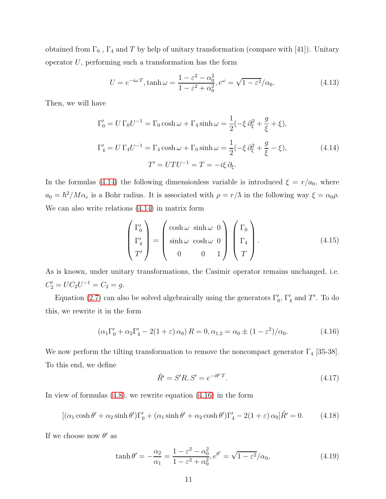obtained from  $\Gamma_0$  ,  $\Gamma_4$  and  $T$  by help of unitary transformation (compare with [41]). Unitary operator  $U$ , performing such a transformation has the form

$$
U = e^{-i\omega T}, \tanh \omega = \frac{1 - \varepsilon^2 - \alpha_0^2}{1 - \varepsilon^2 + \alpha_0^2}, e^{\omega} = \sqrt{1 - \varepsilon^2/\alpha_0}.
$$
 (4.13)

Then, we will have

<span id="page-10-0"></span>
$$
\Gamma'_0 = U \Gamma_0 U^{-1} = \Gamma_0 \cosh \omega + \Gamma_4 \sinh \omega = \frac{1}{2} (-\xi \partial_{\xi}^2 + \frac{g}{\xi} + \xi),
$$
  
\n
$$
\Gamma'_4 = U \Gamma_4 U^{-1} = \Gamma_4 \cosh \omega + \Gamma_0 \sinh \omega = \frac{1}{2} (-\xi \partial_{\xi}^2 + \frac{g}{\xi} - \xi),
$$
  
\n
$$
T' = U T U^{-1} = T = -i\xi \partial_{\xi}.
$$
\n(4.14)

In the formulas [\(4.14\)](#page-10-0) the following dimensionless variable is introduced  $\xi = r/a_0$ , where  $a_0 = \hbar^2 / M \alpha_e$  is a Bohr radius. It is associated with  $\rho = r/\lambda$  in the following way  $\xi = \alpha_0 \rho$ . We can also write relations [\(4.14\)](#page-10-0) in matrix form

$$
\begin{pmatrix} \Gamma_0' \\ \Gamma_4' \\ T' \end{pmatrix} = \begin{pmatrix} \cosh \omega & \sinh \omega & 0 \\ \sinh \omega & \cosh \omega & 0 \\ 0 & 0 & 1 \end{pmatrix} \begin{pmatrix} \Gamma_0 \\ \Gamma_4 \\ T \end{pmatrix}.
$$
 (4.15)

As is known, under unitary transformations, the Casimir operator remains unchanged, i.e.  $C'_2 = UC_2U^{-1} = C_2 = g.$ 

Equation [\(2.7\)](#page-4-2) can also be solved algebraically using the generators  $\Gamma'_0$ ,  $\Gamma'_4$  and  $T'$ . To do this, we rewrite it in the form

<span id="page-10-1"></span>
$$
(\alpha_1 \Gamma'_0 + \alpha_2 \Gamma'_4 - 2(1+\varepsilon) \alpha_0) R = 0, \alpha_{1,2} = \alpha_0 \pm (1-\varepsilon^2)/\alpha_0.
$$
 (4.16)

We now perform the tilting transformation to remove the noncompact generator  $\Gamma_4$  [35-38]. To this end, we define

$$
\tilde{R}' = S'R, S' = e^{-i\theta'T}.
$$
\n(4.17)

In view of formulas  $(4.8)$ , we rewrite equation  $(4.16)$  in the form

<span id="page-10-2"></span>
$$
[(\alpha_1 \cosh \theta' + \alpha_2 \sinh \theta')\Gamma'_0 + (\alpha_1 \sinh \theta' + \alpha_2 \cosh \theta')\Gamma'_4 - 2(1+\varepsilon)\alpha_0]\tilde{R}' = 0. \tag{4.18}
$$

If we choose now  $\theta'$  as

$$
\tanh \theta' = -\frac{\alpha_2}{\alpha_1} = \frac{1 - \varepsilon^2 - \alpha_0^2}{1 - \varepsilon^2 + \alpha_0^2}, e^{\theta'} = \sqrt{1 - \varepsilon^2}/\alpha_0,
$$
\n(4.19)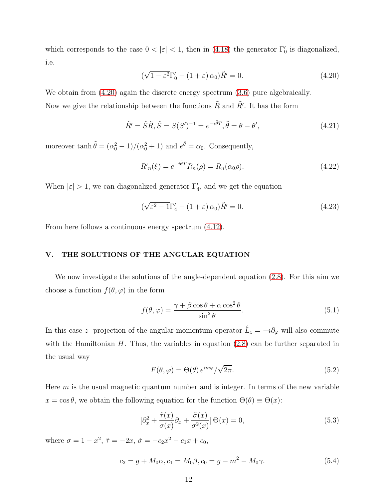which corresponds to the case  $0 < |\varepsilon| < 1$ , then in [\(4.18\)](#page-10-2) the generator  $\Gamma'_0$  is diagonalized, i.e.

<span id="page-11-0"></span>
$$
(\sqrt{1 - \varepsilon^2} \Gamma'_0 - (1 + \varepsilon) \alpha_0) \tilde{R}' = 0.
$$
 (4.20)

We obtain from  $(4.20)$  again the discrete energy spectrum  $(3.6)$  pure algebraically. Now we give the relationship between the functions  $\tilde{R}$  and  $\tilde{R'}$ . It has the form

$$
\tilde{R}' = \tilde{S}\tilde{R}, \tilde{S} = S(S')^{-1} = e^{-i\tilde{\theta}T}, \tilde{\theta} = \theta - \theta',
$$
\n(4.21)

moreover  $\tanh \tilde{\theta} = (\alpha_0^2 - 1)/(\alpha_0^2 + 1)$  and  $e^{\tilde{\theta}} = \alpha_0$ . Consequently,

$$
\tilde{R}'_n(\xi) = e^{-i\tilde{\theta}T}\tilde{R}_n(\rho) = \tilde{R}_n(\alpha_0\rho).
$$
\n(4.22)

When  $|\varepsilon| > 1$ , we can diagonalized generator  $\Gamma'_4$ , and we get the equation

$$
(\sqrt{\varepsilon^2 - 1}\Gamma_4' - (1 + \varepsilon)\alpha_0)\tilde{R}' = 0.
$$
\n(4.23)

From here follows a continuous energy spectrum [\(4.12\)](#page-9-3).

#### V. THE SOLUTIONS OF THE ANGULAR EQUATION

We now investigate the solutions of the angle-dependent equation [\(2.8\)](#page-5-1). For this aim we choose a function  $f(\theta, \varphi)$  in the form

$$
f(\theta, \varphi) = \frac{\gamma + \beta \cos \theta + \alpha \cos^2 \theta}{\sin^2 \theta}.
$$
 (5.1)

In this case z- projection of the angular momentum operator  $\hat{L}_z = -i\partial_\varphi$  will also commute with the Hamiltonian  $H$ . Thus, the variables in equation  $(2.8)$  can be further separated in the usual way

$$
F(\theta, \varphi) = \Theta(\theta) e^{im\varphi} / \sqrt{2\pi}.
$$
\n(5.2)

Here  $m$  is the usual magnetic quantum number and is integer. In terms of the new variable  $x = \cos \theta$ , we obtain the following equation for the function  $\Theta(\theta) \equiv \Theta(x)$ :

<span id="page-11-1"></span>
$$
[\partial_x^2 + \frac{\tilde{\tau}(x)}{\sigma(x)} \partial_x + \frac{\tilde{\sigma}(x)}{\sigma^2(x)}] \Theta(x) = 0,
$$
\n(5.3)

where  $\sigma = 1 - x^2$ ,  $\tilde{\tau} = -2x$ ,  $\tilde{\sigma} = -c_2 x^2 - c_1 x + c_0$ ,

$$
c_2 = g + M_0 \alpha, c_1 = M_0 \beta, c_0 = g - m^2 - M_0 \gamma.
$$
\n(5.4)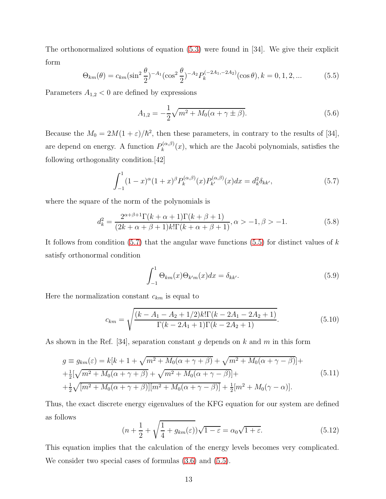The orthonormalized solutions of equation [\(5.3\)](#page-11-1) were found in [34]. We give their explicit form

<span id="page-12-1"></span>
$$
\Theta_{km}(\theta) = c_{km} (\sin^2 \frac{\theta}{2})^{-A_1} (\cos^2 \frac{\theta}{2})^{-A_2} P_k^{(-2A_1, -2A_2)}(\cos \theta), k = 0, 1, 2, ... \tag{5.5}
$$

Parameters  ${\cal A}_{1,2}<0$  are defined by expressions

$$
A_{1,2} = -\frac{1}{2}\sqrt{m^2 + M_0(\alpha + \gamma \pm \beta)}.
$$
\n(5.6)

Because the  $M_0 = 2M(1+\varepsilon)/\hbar^2$ , then these parameters, in contrary to the results of [34], are depend on energy. A function  $P_k^{(\alpha,\beta)}$  $\mathcal{L}_{k}^{(\alpha,\beta)}(x)$ , which are the Jacobi polynomials, satisfies the following orthogonality condition.[42]

<span id="page-12-0"></span>
$$
\int_{-1}^{1} (1-x)^{\alpha} (1+x)^{\beta} P_k^{(\alpha,\beta)}(x) P_{k'}^{(\alpha,\beta)}(x) dx = d_k^2 \delta_{kk'},
$$
\n(5.7)

where the square of the norm of the polynomials is

$$
d_k^2 = \frac{2^{\alpha+\beta+1}\Gamma(k+\alpha+1)\Gamma(k+\beta+1)}{(2k+\alpha+\beta+1)k!\Gamma(k+\alpha+\beta+1)}, \alpha > -1, \beta > -1.
$$
 (5.8)

It follows from condition  $(5.7)$  that the angular wave functions  $(5.5)$  for distinct values of k satisfy orthonormal condition

$$
\int_{-1}^{1} \Theta_{km}(x)\Theta_{k'm}(x)dx = \delta_{kk'}.
$$
\n(5.9)

Here the normalization constant  $c_{km}$  is equal to

$$
c_{km} = \sqrt{\frac{(k - A_1 - A_2 + 1/2)k!\Gamma(k - 2A_1 - 2A_2 + 1)}{\Gamma(k - 2A_1 + 1)\Gamma(k - 2A_2 + 1)}}.
$$
(5.10)

As shown in the Ref. [34], separation constant q depends on k and m in this form

$$
g \equiv g_{km}(\varepsilon) = k[k+1+\sqrt{m^2+M_0(\alpha+\gamma+\beta)}+\sqrt{m^2+M_0(\alpha+\gamma-\beta)}]++\frac{1}{2}[\sqrt{m^2+M_0(\alpha+\gamma+\beta)}+\sqrt{m^2+M_0(\alpha+\gamma-\beta)}]++\frac{1}{2}\sqrt{[m^2+M_0(\alpha+\gamma+\beta)][m^2+M_0(\alpha+\gamma-\beta)]}+\frac{1}{2}[m^2+M_0(\gamma-\alpha)].
$$
\n(5.11)

Thus, the exact discrete energy eigenvalues of the KFG equation for our system are defined as follows

<span id="page-12-2"></span>
$$
(n + \frac{1}{2} + \sqrt{\frac{1}{4} + g_{km}(\varepsilon)})\sqrt{1 - \varepsilon} = \alpha_0 \sqrt{1 + \varepsilon}.
$$
 (5.12)

This equation implies that the calculation of the energy levels becomes very complicated. We consider two special cases of formulas [\(3.6\)](#page-6-1) and [\(5.5\)](#page-12-1).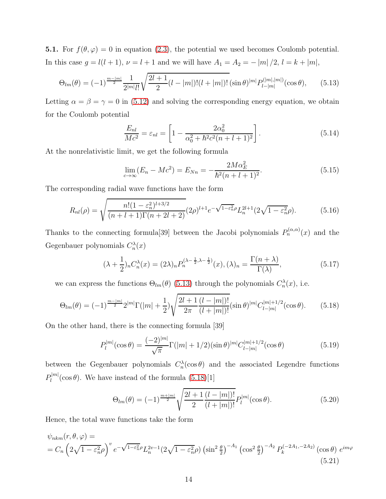**5.1.** For  $f(\theta, \varphi) = 0$  in equation [\(2.3\)](#page-4-3), the potential we used becomes Coulomb potential. In this case  $g = l(l + 1)$ ,  $\nu = l + 1$  and we will have  $A_1 = A_2 = -|m|/2$ ,  $l = k + |m|$ ,

<span id="page-13-0"></span>
$$
\Theta_{lm}(\theta) = (-1)^{\frac{m-|m|}{2}} \frac{1}{2^{|m|} l!} \sqrt{\frac{2l+1}{2} (l-|m|)! (l+|m|)!} (\sin \theta)^{|m|} P_{l-|m|}^{(|m|,|m|)} (\cos \theta), \qquad (5.13)
$$

Letting  $\alpha = \beta = \gamma = 0$  in [\(5.12\)](#page-12-2) and solving the corresponding energy equation, we obtain for the Coulomb potential

$$
\frac{E_{nl}}{Mc^2} = \varepsilon_{nl} = \left[1 - \frac{2\alpha_0^2}{\alpha_0^2 + \hbar^2 c^2 (n+l+1)^2}\right].
$$
\n(5.14)

At the nonrelativistic limit, we get the following formula

$$
\lim_{c \to \infty} (E_n - Mc^2) = E_{Nn} = -\frac{2M\alpha_E^2}{\hbar^2 (n+l+1)^2}.
$$
\n(5.15)

The corresponding radial wave functions have the form

$$
R_{nl}(\rho) = \sqrt{\frac{n!(1 - \varepsilon_n^2)^{l+3/2}}{(n+l+1)\Gamma(n+2l+2)}} (2\rho)^{l+1} e^{-\sqrt{1-\varepsilon_n^2}\rho} L_n^{2l+1}(2\sqrt{1-\varepsilon_n^2}\rho). \tag{5.16}
$$

Thanks to the connecting formula<sup>[39]</sup> between the Jacobi polynomials  $P_n^{(\alpha,\alpha)}(x)$  and the Gegenbauer polynomials  $C_n^{\lambda}(x)$ 

$$
(\lambda + \frac{1}{2})_n C_n^{\lambda}(x) = (2\lambda)_n P_n^{(\lambda - \frac{1}{2}, \lambda - \frac{1}{2})}(x), (\lambda)_n = \frac{\Gamma(n + \lambda)}{\Gamma(\lambda)},
$$
\n(5.17)

we can express the functions  $\Theta_{lm}(\theta)$  [\(5.13\)](#page-13-0) through the polynomials  $C_n^{\lambda}(x)$ , i.e.

<span id="page-13-1"></span>
$$
\Theta_{lm}(\theta) = (-1)^{\frac{m-|m|}{2}} 2^{|m|} \Gamma(|m|+\frac{1}{2}) \sqrt{\frac{2l+1}{2\pi} \frac{(l-|m|)!}{(l+|m|)!}} (\sin \theta)^{|m|} C_{l-|m|}^{|m|+1/2} (\cos \theta). \tag{5.18}
$$

On the other hand, there is the connecting formula [39]

$$
P_l^{|m|}(\cos \theta) = \frac{(-2)^{|m|}}{\sqrt{\pi}} \Gamma(|m| + 1/2)(\sin \theta)^{|m|} C_{l-|m|}^{|m|+1/2}(\cos \theta)
$$
(5.19)

between the Gegenbauer polynomials  $C_n^{\lambda}(\cos \theta)$  and the associated Legendre functions  $P_l^{|m|}(\cos \theta)$ . We have instead of the formula [\(5.18\)](#page-13-1)[1]

$$
\Theta_{lm}(\theta) = (-1)^{\frac{m+|m|}{2}} \sqrt{\frac{2l+1}{2} \frac{(l-|m|)!}{(l+|m|)!}} P_l^{|m|}(\cos \theta).
$$
 (5.20)

Hence, the total wave functions take the form

$$
\psi_{nkm}(r,\theta,\varphi) =
$$
\n
$$
= C_n \left( 2\sqrt{1 - \varepsilon_n^2} \rho \right)^v e^{-\sqrt{1 - \varepsilon_n^2} \rho} L_n^{2v-1} \left( 2\sqrt{1 - \varepsilon_n^2} \rho \right) \left( \sin^2 \frac{\theta}{2} \right)^{-A_1} \left( \cos^2 \frac{\theta}{2} \right)^{-A_2} P_k^{(-2A_1, -2A_2)} \left( \cos \theta \right) e^{im\varphi}
$$
\n
$$
(5.21)
$$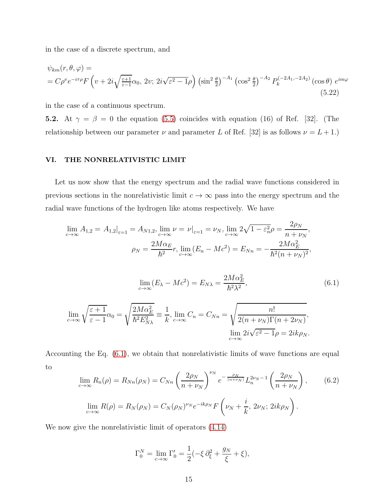in the case of a discrete spectrum, and

$$
\psi_{km}(r,\theta,\varphi) =
$$
\n
$$
= C\rho^v e^{-i\tau\rho} F\left(v + 2i\sqrt{\frac{\varepsilon+1}{\varepsilon-1}}\alpha_0, 2v; 2i\sqrt{\varepsilon^2 - 1}\rho\right) \left(\sin^2\frac{\theta}{2}\right)^{-A_1} \left(\cos^2\frac{\theta}{2}\right)^{-A_2} P_k^{(-2A_1, -2A_2)}\left(\cos\theta\right) e^{im\varphi}
$$
\n(5.22)

in the case of a continuous spectrum.

**5.2.** At  $\gamma = \beta = 0$  the equation [\(5.5\)](#page-12-1) coincides with equation (16) of Ref. [32]. (The relationship between our parameter  $\nu$  and parameter L of Ref. [32] is as follows  $\nu = L + 1$ .)

#### VI. THE NONRELATIVISTIC LIMIT

Let us now show that the energy spectrum and the radial wave functions considered in previous sections in the nonrelativistic limit  $c \to \infty$  pass into the energy spectrum and the radial wave functions of the hydrogen like atoms respectively. We have

$$
\lim_{c \to \infty} A_{1,2} = A_{1,2}|_{\varepsilon=1} = A_{N1,2}, \lim_{c \to \infty} \nu = \nu|_{\varepsilon=1} = \nu_N, \lim_{c \to \infty} 2\sqrt{1 - \varepsilon_n^2} \rho = \frac{2\rho_N}{n + \nu_N},
$$

$$
\rho_N = \frac{2M\alpha_E}{\hbar^2} r, \lim_{c \to \infty} (E_n - Mc^2) = E_{Nn} = -\frac{2M\alpha_E^2}{\hbar^2 (n + \nu_N)^2},
$$

<span id="page-14-0"></span>
$$
\lim_{c \to \infty} (E_{\lambda} - Mc^2) = E_{N\lambda} = \frac{2M\alpha_E^2}{\hbar^2 \lambda^2},\tag{6.1}
$$

$$
\lim_{c \to \infty} \sqrt{\frac{\varepsilon + 1}{\varepsilon - 1}} \alpha_0 = \sqrt{\frac{2M\alpha_E^2}{\hbar^2 E_{N\lambda}^2}} \equiv \frac{1}{k}, \lim_{c \to \infty} C_n = C_{Nn} = \sqrt{\frac{n!}{2(n + \nu_N)\Gamma(n + 2\nu_N)}},
$$

$$
\lim_{c \to \infty} 2i\sqrt{\varepsilon^2 - 1} \rho = 2ik\rho_N.
$$

Accounting the Eq. [\(6.1\)](#page-14-0), we obtain that nonrelativistic limits of wave functions are equal to

$$
\lim_{c \to \infty} R_n(\rho) = R_{Nn}(\rho_N) = C_{Nn} \left( \frac{2\rho_N}{n + \nu_N} \right)^{\nu_N} e^{-\frac{\rho_N}{(n + \nu_N)}} L_n^{2\nu_N - 1} \left( \frac{2\rho_N}{n + \nu_N} \right), \qquad (6.2)
$$

$$
\lim_{c \to \infty} R(\rho) = R_N(\rho_N) = C_N(\rho_N)^{\nu_N} e^{-ik\rho_N} F\left(\nu_N + \frac{i}{k}, 2\nu_N; 2ik\rho_N\right).
$$

We now give the nonrelativistic limit of operators [\(4.14\)](#page-10-0)

$$
\Gamma_0^N = \lim_{c \to \infty} \Gamma'_0 = \frac{1}{2} (-\xi \, \partial_{\xi}^2 + \frac{g_N}{\xi} + \xi),
$$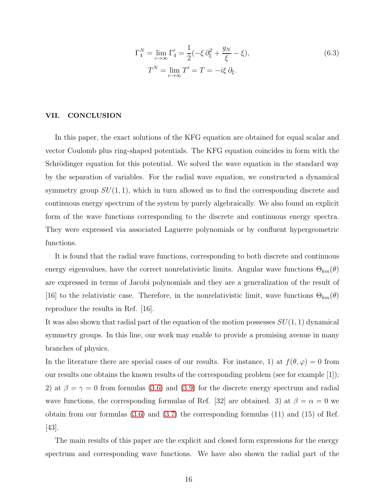$$
\Gamma_4^N = \lim_{c \to \infty} \Gamma_4' = \frac{1}{2} (-\xi \partial_{\xi}^2 + \frac{g_N}{\xi} - \xi),
$$
  
\n
$$
T^N = \lim_{c \to \infty} T' = T = -i\xi \partial_{\xi}.
$$
\n(6.3)

#### VII. CONCLUSION

In this paper, the exact solutions of the KFG equation are obtained for equal scalar and vector Coulomb plus ring-shaped potentials. The KFG equation coincides in form with the Schrödinger equation for this potential. We solved the wave equation in the standard way by the separation of variables. For the radial wave equation, we constructed a dynamical symmetry group  $SU(1,1)$ , which in turn allowed us to find the corresponding discrete and continuous energy spectrum of the system by purely algebraically. We also found an explicit form of the wave functions corresponding to the discrete and continuous energy spectra. They were expressed via associated Laguerre polynomials or by confluent hypergeometric functions.

It is found that the radial wave functions, corresponding to both discrete and continuous energy eigenvalues, have the correct nonrelativistic limits. Angular wave functions  $\Theta_{km}(\theta)$ are expressed in terms of Jacobi polynomials and they are a generalization of the result of [16] to the relativistic case. Therefore, in the nonrelativistic limit, wave functions  $\Theta_{km}(\theta)$ reproduce the results in Ref. [16].

It was also shown that radial part of the equation of the motion possesses  $SU(1, 1)$  dynamical symmetry groups. In this line, our work may enable to provide a promising avenue in many branches of physics.

In the literature there are special cases of our results. For instance, 1) at  $f(\theta, \varphi) = 0$  from our results one obtains the known results of the corresponding problem (see for example [1]); 2) at  $\beta = \gamma = 0$  from formulas [\(3.6\)](#page-6-1) and [\(3.9\)](#page-6-2) for the discrete energy spectrum and radial wave functions, the corresponding formulas of Ref. [32] are obtained. 3) at  $\beta = \alpha = 0$  we obtain from our formulas [\(3.6\)](#page-6-1) and [\(3.7\)](#page-6-3) the corresponding formulas (11) and (15) of Ref. [43].

The main results of this paper are the explicit and closed form expressions for the energy spectrum and corresponding wave functions. We have also shown the radial part of the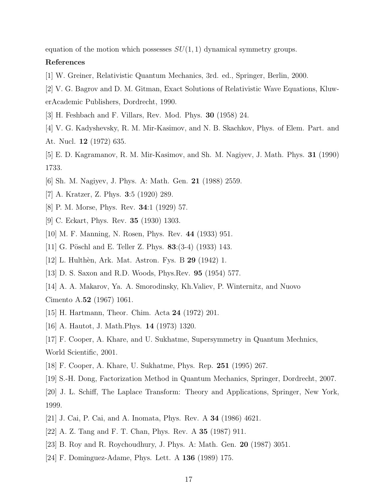equation of the motion which possesses  $SU(1, 1)$  dynamical symmetry groups.

#### References

- [1] W. Greiner, Relativistic Quantum Mechanics, 3rd. ed., Springer, Berlin, 2000.
- [2] V. G. Bagrov and D. M. Gitman, Exact Solutions of Relativistic Wave Equations, KluwerAcademic Publishers, Dordrecht, 1990.
- [3] H. Feshbach and F. Villars, Rev. Mod. Phys. 30 (1958) 24.
- [4] V. G. Kadyshevsky, R. M. Mir-Kasimov, and N. B. Skachkov, Phys. of Elem. Part. and At. Nucl. 12 (1972) 635.
- [5] E. D. Kagramanov, R. M. Mir-Kasimov, and Sh. M. Nagiyev, J. Math. Phys. 31 (1990) 1733.
- [6] Sh. M. Nagiyev, J. Phys. A: Math. Gen. 21 (1988) 2559.
- [7] A. Kratzer, Z. Phys. 3:5 (1920) 289.
- [8] P. M. Morse, Phys. Rev. 34:1 (1929) 57.
- [9] C. Eckart, Phys. Rev. 35 (1930) 1303.
- [10] M. F. Manning, N. Rosen, Phys. Rev. 44 (1933) 951.
- [11] G. Pöschl and E. Teller Z. Phys.  $83:(3-4)$  (1933) 143.
- [12] L. Hulthèn, Ark. Mat. Astron. Fys. B **29** (1942) 1.
- [13] D. S. Saxon and R.D. Woods, Phys.Rev. 95 (1954) 577.
- [14] A. A. Makarov, Ya. A. Smorodinsky, Kh.Valiev, P. Winternitz, and Nuovo Cimento A.52 (1967) 1061.
- [15] H. Hartmann, Theor. Chim. Acta 24 (1972) 201.
- [16] A. Hautot, J. Math.Phys. 14 (1973) 1320.
- [17] F. Cooper, A. Khare, and U. Sukhatme, Supersymmetry in Quantum Mechnics, World Scientific, 2001.
- [18] F. Cooper, A. Khare, U. Sukhatme, Phys. Rep. 251 (1995) 267.
- [19] S.-H. Dong, Factorization Method in Quantum Mechanics, Springer, Dordrecht, 2007.
- [20] J. L. Schiff, The Laplace Transform: Theory and Applications, Springer, New York, 1999.
- [21] J. Cai, P. Cai, and A. Inomata, Phys. Rev. A 34 (1986) 4621.
- [22] A. Z. Tang and F. T. Chan, Phys. Rev. A 35 (1987) 911.
- [23] B. Roy and R. Roychoudhury, J. Phys. A: Math. Gen. 20 (1987) 3051.
- [24] F. Dominguez-Adame, Phys. Lett. A 136 (1989) 175.